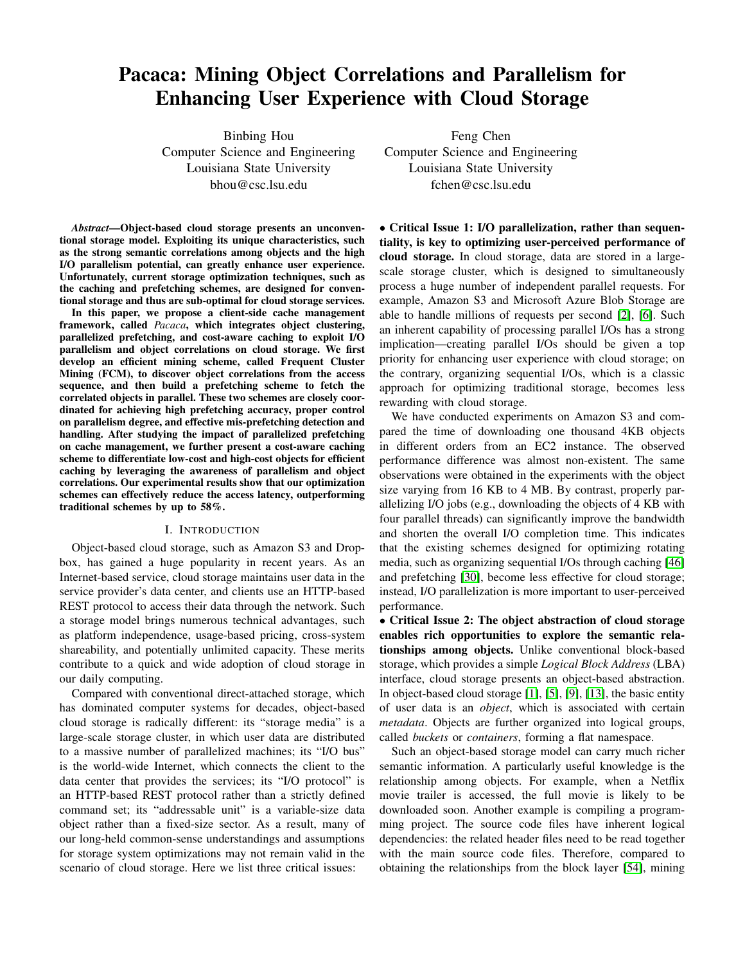# Pacaca: Mining Object Correlations and Parallelism for Enhancing User Experience with Cloud Storage

Computer Science and Engineering Computer Science and Engineering Louisiana State University Louisiana State University bhou@csc.lsu.edu fchen@csc.lsu.edu

Binbing Hou Feng Chen

*Abstract*—Object-based cloud storage presents an unconventional storage model. Exploiting its unique characteristics, such as the strong semantic correlations among objects and the high I/O parallelism potential, can greatly enhance user experience. Unfortunately, current storage optimization techniques, such as the caching and prefetching schemes, are designed for conventional storage and thus are sub-optimal for cloud storage services.

In this paper, we propose a client-side cache management framework, called *Pacaca*, which integrates object clustering, parallelized prefetching, and cost-aware caching to exploit I/O parallelism and object correlations on cloud storage. We first develop an efficient mining scheme, called Frequent Cluster Mining (FCM), to discover object correlations from the access sequence, and then build a prefetching scheme to fetch the correlated objects in parallel. These two schemes are closely coordinated for achieving high prefetching accuracy, proper control on parallelism degree, and effective mis-prefetching detection and handling. After studying the impact of parallelized prefetching on cache management, we further present a cost-aware caching scheme to differentiate low-cost and high-cost objects for efficient caching by leveraging the awareness of parallelism and object correlations. Our experimental results show that our optimization schemes can effectively reduce the access latency, outperforming traditional schemes by up to 58%.

#### I. INTRODUCTION

Object-based cloud storage, such as Amazon S3 and Dropbox, has gained a huge popularity in recent years. As an Internet-based service, cloud storage maintains user data in the service provider's data center, and clients use an HTTP-based REST protocol to access their data through the network. Such a storage model brings numerous technical advantages, such as platform independence, usage-based pricing, cross-system shareability, and potentially unlimited capacity. These merits contribute to a quick and wide adoption of cloud storage in our daily computing.

Compared with conventional direct-attached storage, which has dominated computer systems for decades, object-based cloud storage is radically different: its "storage media" is a large-scale storage cluster, in which user data are distributed to a massive number of parallelized machines; its "I/O bus" is the world-wide Internet, which connects the client to the data center that provides the services; its "I/O protocol" is an HTTP-based REST protocol rather than a strictly defined command set; its "addressable unit" is a variable-size data object rather than a fixed-size sector. As a result, many of our long-held common-sense understandings and assumptions for storage system optimizations may not remain valid in the scenario of cloud storage. Here we list three critical issues:

• Critical Issue 1: I/O parallelization, rather than sequentiality, is key to optimizing user-perceived performance of cloud storage. In cloud storage, data are stored in a largescale storage cluster, which is designed to simultaneously process a huge number of independent parallel requests. For example, Amazon S3 and Microsoft Azure Blob Storage are able to handle millions of requests per second [\[2\]](#page-10-0), [\[6\]](#page-10-1). Such an inherent capability of processing parallel I/Os has a strong implication—creating parallel I/Os should be given a top priority for enhancing user experience with cloud storage; on the contrary, organizing sequential I/Os, which is a classic approach for optimizing traditional storage, becomes less rewarding with cloud storage.

We have conducted experiments on Amazon S3 and compared the time of downloading one thousand 4KB objects in different orders from an EC2 instance. The observed performance difference was almost non-existent. The same observations were obtained in the experiments with the object size varying from 16 KB to 4 MB. By contrast, properly parallelizing I/O jobs (e.g., downloading the objects of 4 KB with four parallel threads) can significantly improve the bandwidth and shorten the overall I/O completion time. This indicates that the existing schemes designed for optimizing rotating media, such as organizing sequential I/Os through caching [\[46\]](#page-11-0) and prefetching [\[30\]](#page-11-1), become less effective for cloud storage; instead, I/O parallelization is more important to user-perceived performance.

• Critical Issue 2: The object abstraction of cloud storage enables rich opportunities to explore the semantic relationships among objects. Unlike conventional block-based storage, which provides a simple *Logical Block Address* (LBA) interface, cloud storage presents an object-based abstraction. In object-based cloud storage [\[1\]](#page-10-2), [\[5\]](#page-10-3), [\[9\]](#page-10-4), [\[13\]](#page-11-2), the basic entity of user data is an *object*, which is associated with certain *metadata*. Objects are further organized into logical groups, called *buckets* or *containers*, forming a flat namespace.

Such an object-based storage model can carry much richer semantic information. A particularly useful knowledge is the relationship among objects. For example, when a Netflix movie trailer is accessed, the full movie is likely to be downloaded soon. Another example is compiling a programming project. The source code files have inherent logical dependencies: the related header files need to be read together with the main source code files. Therefore, compared to obtaining the relationships from the block layer [\[54\]](#page-12-0), mining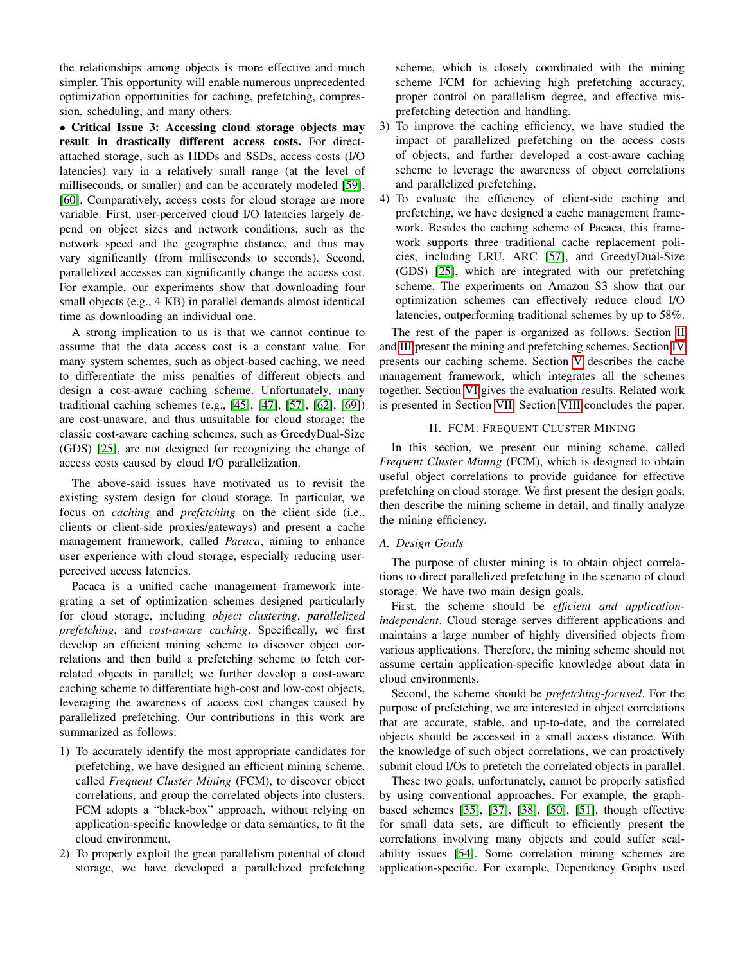the relationships among objects is more effective and much simpler. This opportunity will enable numerous unprecedented optimization opportunities for caching, prefetching, compression, scheduling, and many others.

• Critical Issue 3: Accessing cloud storage objects may result in drastically different access costs. For directattached storage, such as HDDs and SSDs, access costs (I/O latencies) vary in a relatively small range (at the level of milliseconds, or smaller) and can be accurately modeled [\[59\]](#page-12-1), [\[60\]](#page-12-2). Comparatively, access costs for cloud storage are more variable. First, user-perceived cloud I/O latencies largely depend on object sizes and network conditions, such as the network speed and the geographic distance, and thus may vary significantly (from milliseconds to seconds). Second, parallelized accesses can significantly change the access cost. For example, our experiments show that downloading four small objects (e.g., 4 KB) in parallel demands almost identical time as downloading an individual one.

A strong implication to us is that we cannot continue to assume that the data access cost is a constant value. For many system schemes, such as object-based caching, we need to differentiate the miss penalties of different objects and design a cost-aware caching scheme. Unfortunately, many traditional caching schemes (e.g., [\[45\]](#page-11-3), [\[47\]](#page-11-4), [\[57\]](#page-12-3), [\[62\]](#page-12-4), [\[69\]](#page-12-5)) are cost-unaware, and thus unsuitable for cloud storage; the classic cost-aware caching schemes, such as GreedyDual-Size (GDS) [\[25\]](#page-11-5), are not designed for recognizing the change of access costs caused by cloud I/O parallelization.

The above-said issues have motivated us to revisit the existing system design for cloud storage. In particular, we focus on *caching* and *prefetching* on the client side (i.e., clients or client-side proxies/gateways) and present a cache management framework, called *Pacaca*, aiming to enhance user experience with cloud storage, especially reducing userperceived access latencies.

Pacaca is a unified cache management framework integrating a set of optimization schemes designed particularly for cloud storage, including *object clustering*, *parallelized prefetching*, and *cost-aware caching*. Specifically, we first develop an efficient mining scheme to discover object correlations and then build a prefetching scheme to fetch correlated objects in parallel; we further develop a cost-aware caching scheme to differentiate high-cost and low-cost objects, leveraging the awareness of access cost changes caused by parallelized prefetching. Our contributions in this work are summarized as follows:

- 1) To accurately identify the most appropriate candidates for prefetching, we have designed an efficient mining scheme, called *Frequent Cluster Mining* (FCM), to discover object correlations, and group the correlated objects into clusters. FCM adopts a "black-box" approach, without relying on application-specific knowledge or data semantics, to fit the cloud environment.
- 2) To properly exploit the great parallelism potential of cloud storage, we have developed a parallelized prefetching

scheme, which is closely coordinated with the mining scheme FCM for achieving high prefetching accuracy, proper control on parallelism degree, and effective misprefetching detection and handling.

- 3) To improve the caching efficiency, we have studied the impact of parallelized prefetching on the access costs of objects, and further developed a cost-aware caching scheme to leverage the awareness of object correlations and parallelized prefetching.
- 4) To evaluate the efficiency of client-side caching and prefetching, we have designed a cache management framework. Besides the caching scheme of Pacaca, this framework supports three traditional cache replacement policies, including LRU, ARC [\[57\]](#page-12-3), and GreedyDual-Size (GDS) [\[25\]](#page-11-5), which are integrated with our prefetching scheme. The experiments on Amazon S3 show that our optimization schemes can effectively reduce cloud I/O latencies, outperforming traditional schemes by up to 58%.

The rest of the paper is organized as follows. Section [II](#page-1-0) and [III](#page-3-0) present the mining and prefetching schemes. Section [IV](#page-4-0) presents our caching scheme. Section [V](#page-5-0) describes the cache management framework, which integrates all the schemes together. Section [VI](#page-6-0) gives the evaluation results. Related work is presented in Section [VII.](#page-10-5) Section [VIII](#page-10-6) concludes the paper.

## II. FCM: FREQUENT CLUSTER MINING

<span id="page-1-0"></span>In this section, we present our mining scheme, called *Frequent Cluster Mining* (FCM), which is designed to obtain useful object correlations to provide guidance for effective prefetching on cloud storage. We first present the design goals, then describe the mining scheme in detail, and finally analyze the mining efficiency.

## *A. Design Goals*

The purpose of cluster mining is to obtain object correlations to direct parallelized prefetching in the scenario of cloud storage. We have two main design goals.

First, the scheme should be *efficient and applicationindependent*. Cloud storage serves different applications and maintains a large number of highly diversified objects from various applications. Therefore, the mining scheme should not assume certain application-specific knowledge about data in cloud environments.

Second, the scheme should be *prefetching-focused*. For the purpose of prefetching, we are interested in object correlations that are accurate, stable, and up-to-date, and the correlated objects should be accessed in a small access distance. With the knowledge of such object correlations, we can proactively submit cloud I/Os to prefetch the correlated objects in parallel.

These two goals, unfortunately, cannot be properly satisfied by using conventional approaches. For example, the graphbased schemes [\[35\]](#page-11-6), [\[37\]](#page-11-7), [\[38\]](#page-11-8), [\[50\]](#page-11-9), [\[51\]](#page-11-10), though effective for small data sets, are difficult to efficiently present the correlations involving many objects and could suffer scalability issues [\[54\]](#page-12-0). Some correlation mining schemes are application-specific. For example, Dependency Graphs used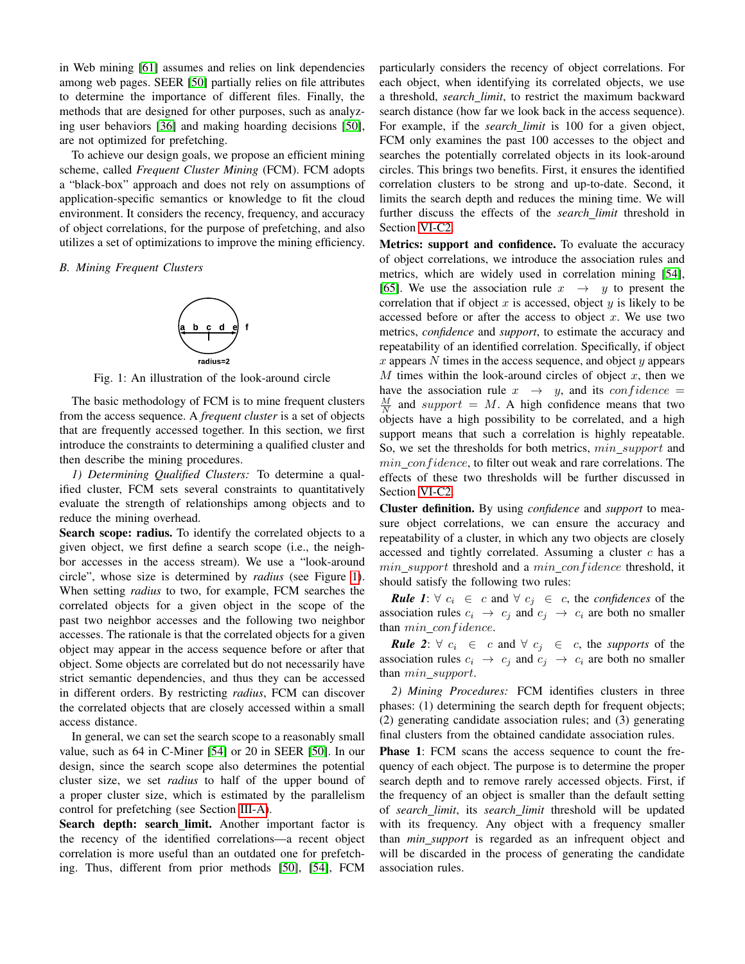in Web mining [\[61\]](#page-12-6) assumes and relies on link dependencies among web pages. SEER [\[50\]](#page-11-9) partially relies on file attributes to determine the importance of different files. Finally, the methods that are designed for other purposes, such as analyzing user behaviors [\[36\]](#page-11-11) and making hoarding decisions [\[50\]](#page-11-9), are not optimized for prefetching.

To achieve our design goals, we propose an efficient mining scheme, called *Frequent Cluster Mining* (FCM). FCM adopts a "black-box" approach and does not rely on assumptions of application-specific semantics or knowledge to fit the cloud environment. It considers the recency, frequency, and accuracy of object correlations, for the purpose of prefetching, and also utilizes a set of optimizations to improve the mining efficiency.

<span id="page-2-2"></span><span id="page-2-0"></span>*B. Mining Frequent Clusters*



Fig. 1: An illustration of the look-around circle

The basic methodology of FCM is to mine frequent clusters from the access sequence. A *frequent cluster* is a set of objects that are frequently accessed together. In this section, we first introduce the constraints to determining a qualified cluster and then describe the mining procedures.

<span id="page-2-1"></span>*1) Determining Qualified Clusters:* To determine a qualified cluster, FCM sets several constraints to quantitatively evaluate the strength of relationships among objects and to reduce the mining overhead.

Search scope: radius. To identify the correlated objects to a given object, we first define a search scope (i.e., the neighbor accesses in the access stream). We use a "look-around circle", whose size is determined by *radius* (see Figure [1\)](#page-2-0). When setting *radius* to two, for example, FCM searches the correlated objects for a given object in the scope of the past two neighbor accesses and the following two neighbor accesses. The rationale is that the correlated objects for a given object may appear in the access sequence before or after that object. Some objects are correlated but do not necessarily have strict semantic dependencies, and thus they can be accessed in different orders. By restricting *radius*, FCM can discover the correlated objects that are closely accessed within a small access distance.

In general, we can set the search scope to a reasonably small value, such as 64 in C-Miner [\[54\]](#page-12-0) or 20 in SEER [\[50\]](#page-11-9). In our design, since the search scope also determines the potential cluster size, we set *radius* to half of the upper bound of a proper cluster size, which is estimated by the parallelism control for prefetching (see Section [III-A\)](#page-3-1).

Search depth: search\_limit. Another important factor is the recency of the identified correlations—a recent object correlation is more useful than an outdated one for prefetching. Thus, different from prior methods [\[50\]](#page-11-9), [\[54\]](#page-12-0), FCM particularly considers the recency of object correlations. For each object, when identifying its correlated objects, we use a threshold, *search limit*, to restrict the maximum backward search distance (how far we look back in the access sequence). For example, if the *search limit* is 100 for a given object, FCM only examines the past 100 accesses to the object and searches the potentially correlated objects in its look-around circles. This brings two benefits. First, it ensures the identified correlation clusters to be strong and up-to-date. Second, it limits the search depth and reduces the mining time. We will further discuss the effects of the *search limit* threshold in Section [VI-C2.](#page-8-0)

Metrics: support and confidence. To evaluate the accuracy of object correlations, we introduce the association rules and metrics, which are widely used in correlation mining [\[54\]](#page-12-0), [\[65\]](#page-12-7). We use the association rule  $x \rightarrow y$  to present the correlation that if object x is accessed, object y is likely to be accessed before or after the access to object x. We use two metrics, *confidence* and *support*, to estimate the accuracy and repeatability of an identified correlation. Specifically, if object  $x$  appears  $N$  times in the access sequence, and object  $y$  appears  $M$  times within the look-around circles of object  $x$ , then we have the association rule  $x \rightarrow y$ , and its confidence =  $\frac{M}{N}$  and support = M. A high confidence means that two objects have a high possibility to be correlated, and a high support means that such a correlation is highly repeatable. So, we set the thresholds for both metrics,  $min\_support$  and  $min\_confidence$ , to filter out weak and rare correlations. The effects of these two thresholds will be further discussed in Section [VI-C2.](#page-8-0)

Cluster definition. By using *confidence* and *support* to measure object correlations, we can ensure the accuracy and repeatability of a cluster, in which any two objects are closely accessed and tightly correlated. Assuming a cluster  $c$  has a  $min\_support$  threshold and a  $min\_confidence$  threshold, it should satisfy the following two rules:

*Rule 1*:  $\forall c_i \in c$  and  $\forall c_j \in c$ , the *confidences* of the association rules  $c_i \rightarrow c_j$  and  $c_j \rightarrow c_i$  are both no smaller than  $min\_confidence$ .

*Rule* 2:  $\forall c_i \in c$  and  $\forall c_j \in c$ , the *supports* of the association rules  $c_i \rightarrow c_j$  and  $c_j \rightarrow c_i$  are both no smaller than  $min\_support$ .

*2) Mining Procedures:* FCM identifies clusters in three phases: (1) determining the search depth for frequent objects; (2) generating candidate association rules; and (3) generating final clusters from the obtained candidate association rules.

Phase 1: FCM scans the access sequence to count the frequency of each object. The purpose is to determine the proper search depth and to remove rarely accessed objects. First, if the frequency of an object is smaller than the default setting of *search limit*, its *search limit* threshold will be updated with its frequency. Any object with a frequency smaller than *min support* is regarded as an infrequent object and will be discarded in the process of generating the candidate association rules.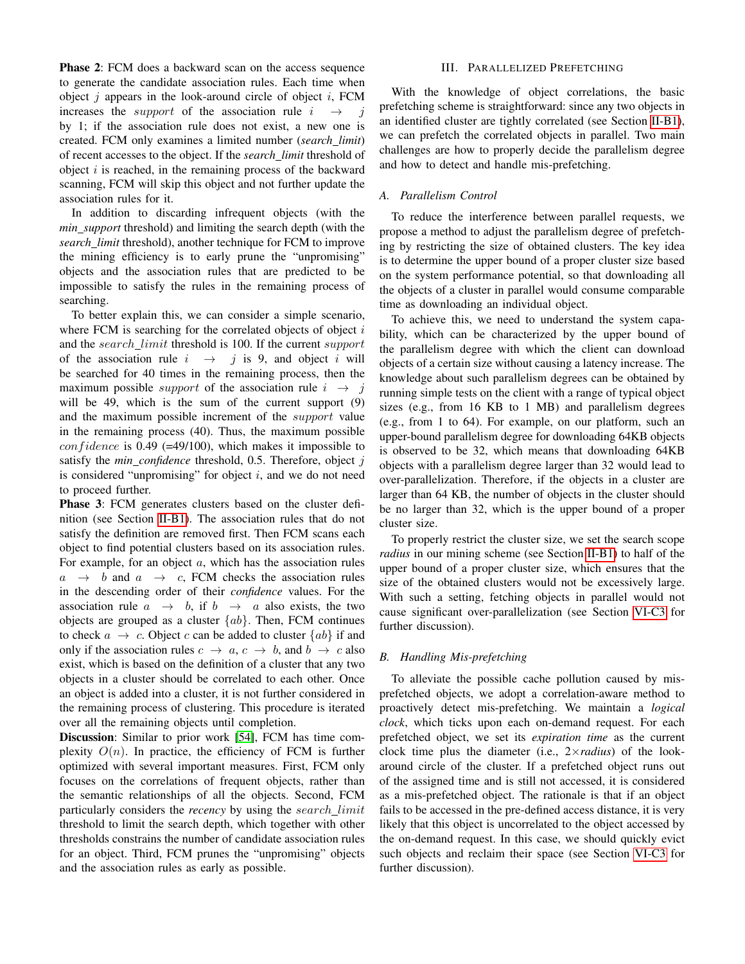Phase 2: FCM does a backward scan on the access sequence to generate the candidate association rules. Each time when object  $i$  appears in the look-around circle of object  $i$ , FCM increases the *support* of the association rule  $i \rightarrow j$ by 1; if the association rule does not exist, a new one is created. FCM only examines a limited number (*search limit*) of recent accesses to the object. If the *search limit* threshold of object  $i$  is reached, in the remaining process of the backward scanning, FCM will skip this object and not further update the association rules for it.

In addition to discarding infrequent objects (with the *min support* threshold) and limiting the search depth (with the *search limit* threshold), another technique for FCM to improve the mining efficiency is to early prune the "unpromising" objects and the association rules that are predicted to be impossible to satisfy the rules in the remaining process of searching.

To better explain this, we can consider a simple scenario, where FCM is searching for the correlated objects of object  $i$ and the search\_limit threshold is 100. If the current support of the association rule  $i \rightarrow j$  is 9, and object i will be searched for 40 times in the remaining process, then the maximum possible *support* of the association rule  $i \rightarrow j$ will be 49, which is the sum of the current support (9) and the maximum possible increment of the support value in the remaining process (40). Thus, the maximum possible  $confidence$  is 0.49 (=49/100), which makes it impossible to satisfy the *min\_confidence* threshold, 0.5. Therefore, object j is considered "unpromising" for object  $i$ , and we do not need to proceed further.

Phase 3: FCM generates clusters based on the cluster definition (see Section [II-B1\)](#page-2-1). The association rules that do not satisfy the definition are removed first. Then FCM scans each object to find potential clusters based on its association rules. For example, for an object  $a$ , which has the association rules  $a \rightarrow b$  and  $a \rightarrow c$ , FCM checks the association rules in the descending order of their *confidence* values. For the association rule  $a \rightarrow b$ , if  $b \rightarrow a$  also exists, the two objects are grouped as a cluster  $\{ab\}$ . Then, FCM continues to check  $a \rightarrow c$ . Object c can be added to cluster  $\{ab\}$  if and only if the association rules  $c \rightarrow a, c \rightarrow b$ , and  $b \rightarrow c$  also exist, which is based on the definition of a cluster that any two objects in a cluster should be correlated to each other. Once an object is added into a cluster, it is not further considered in the remaining process of clustering. This procedure is iterated over all the remaining objects until completion.

Discussion: Similar to prior work [\[54\]](#page-12-0), FCM has time complexity  $O(n)$ . In practice, the efficiency of FCM is further optimized with several important measures. First, FCM only focuses on the correlations of frequent objects, rather than the semantic relationships of all the objects. Second, FCM particularly considers the *recency* by using the *search\_limit* threshold to limit the search depth, which together with other thresholds constrains the number of candidate association rules for an object. Third, FCM prunes the "unpromising" objects and the association rules as early as possible.

## III. PARALLELIZED PREFETCHING

<span id="page-3-0"></span>With the knowledge of object correlations, the basic prefetching scheme is straightforward: since any two objects in an identified cluster are tightly correlated (see Section [II-B1\)](#page-2-1), we can prefetch the correlated objects in parallel. Two main challenges are how to properly decide the parallelism degree and how to detect and handle mis-prefetching.

## <span id="page-3-1"></span>*A. Parallelism Control*

To reduce the interference between parallel requests, we propose a method to adjust the parallelism degree of prefetching by restricting the size of obtained clusters. The key idea is to determine the upper bound of a proper cluster size based on the system performance potential, so that downloading all the objects of a cluster in parallel would consume comparable time as downloading an individual object.

To achieve this, we need to understand the system capability, which can be characterized by the upper bound of the parallelism degree with which the client can download objects of a certain size without causing a latency increase. The knowledge about such parallelism degrees can be obtained by running simple tests on the client with a range of typical object sizes (e.g., from 16 KB to 1 MB) and parallelism degrees (e.g., from 1 to 64). For example, on our platform, such an upper-bound parallelism degree for downloading 64KB objects is observed to be 32, which means that downloading 64KB objects with a parallelism degree larger than 32 would lead to over-parallelization. Therefore, if the objects in a cluster are larger than 64 KB, the number of objects in the cluster should be no larger than 32, which is the upper bound of a proper cluster size.

To properly restrict the cluster size, we set the search scope *radius* in our mining scheme (see Section [II-B1\)](#page-2-1) to half of the upper bound of a proper cluster size, which ensures that the size of the obtained clusters would not be excessively large. With such a setting, fetching objects in parallel would not cause significant over-parallelization (see Section [VI-C3](#page-9-0) for further discussion).

## <span id="page-3-2"></span>*B. Handling Mis-prefetching*

To alleviate the possible cache pollution caused by misprefetched objects, we adopt a correlation-aware method to proactively detect mis-prefetching. We maintain a *logical clock*, which ticks upon each on-demand request. For each prefetched object, we set its *expiration time* as the current clock time plus the diameter (i.e., 2×*radius*) of the lookaround circle of the cluster. If a prefetched object runs out of the assigned time and is still not accessed, it is considered as a mis-prefetched object. The rationale is that if an object fails to be accessed in the pre-defined access distance, it is very likely that this object is uncorrelated to the object accessed by the on-demand request. In this case, we should quickly evict such objects and reclaim their space (see Section [VI-C3](#page-9-0) for further discussion).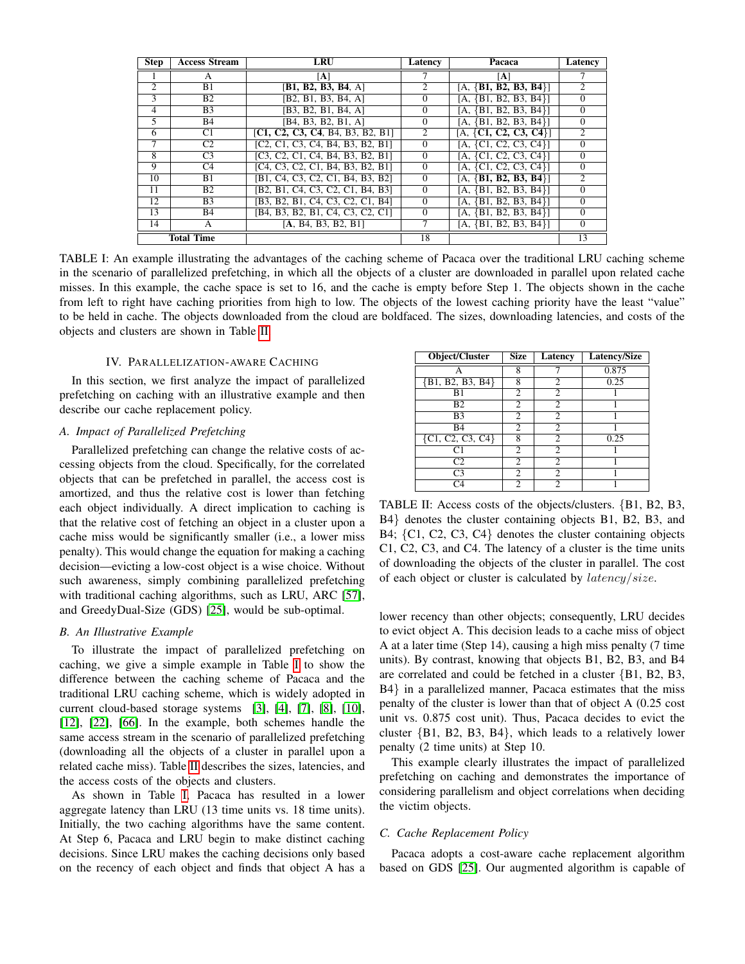<span id="page-4-2"></span>

| <b>Step</b>       | <b>Access Stream</b> | <b>LRU</b>                                                                                                                               | Latency  | Pacaca                    | Latency                     |
|-------------------|----------------------|------------------------------------------------------------------------------------------------------------------------------------------|----------|---------------------------|-----------------------------|
|                   | A                    | [A]                                                                                                                                      |          | [A]                       |                             |
| 2                 | B1                   | [ <b>B1, B2, B3, B4</b> , A]                                                                                                             |          | $[A, {B1, B2, B3, B4}]$   |                             |
| 3                 | B <sub>2</sub>       | [B2, B1, B3, B4, A]                                                                                                                      |          | $[A, {B1, B2, B3, B4}]$   |                             |
| 4                 | B <sub>3</sub>       | [B3, B2, B1, B4, A]                                                                                                                      | $\theta$ | $[A, {B1, B2, B3, B4}]$   |                             |
| 5                 | B <sub>4</sub>       | [B <sub>4</sub> , B <sub>3</sub> , B <sub>2</sub> , B <sub>1</sub> , A <sub>1</sub> ]                                                    | $\Omega$ | $[A, {B1, B2, B3, B4}]$   | $\Omega$                    |
| 6                 | C <sub>1</sub>       | [C1, C2, C3, C4, B4, B3, B2, B1]                                                                                                         | 2        | $[A, \{C1, C2, C3, C4\}]$ | $\mathcal{D}_{\mathcal{L}}$ |
|                   | C <sub>2</sub>       | [C2, C1, C3, C4, B4, B3, B2, B1]                                                                                                         | $\Omega$ | $[A, \{C1, C2, C3, C4\}]$ | $\Omega$                    |
| 8                 | C <sub>3</sub>       | [C3, C2, C1, C4, B4, B3, B2, B1]                                                                                                         | $\Omega$ | $[A, \{C1, C2, C3, C4\}]$ |                             |
| 9                 | C <sub>4</sub>       | [C <sub>4</sub> , C <sub>3</sub> , C <sub>2</sub> , C <sub>1</sub> , B <sub>4</sub> , B <sub>3</sub> , B <sub>2</sub> , B <sub>1</sub> ] | $\Omega$ | $[A, \{C1, C2, C3, C4\}]$ | $\Omega$                    |
| 10                | B1                   | [B1, C4, C3, C2, C1, B4, B3, B2]                                                                                                         | $\Omega$ | $[A, {B1, B2, B3, B4}]$   |                             |
| 11                | B <sub>2</sub>       | [B2, B1, C4, C3, C2, C1, B4, B3]                                                                                                         | $\Omega$ | $[A, {B1, B2, B3, B4}]$   | $\Omega$                    |
| 12                | B <sub>3</sub>       | [B3, B2, B1, C4, C3, C2, C1, B4]                                                                                                         | 0        | $[A, {B1, B2, B3, B4}]$   |                             |
| 13                | <b>B4</b>            | [B4, B3, B2, B1, C4, C3, C2, C1]                                                                                                         | $\theta$ | $[A, {B1, B2, B3, B4}]$   |                             |
| 14                | A                    | [A, B4, B3, B2, B1]                                                                                                                      |          | $[A, {B1, B2, B3, B4}]$   | $\Omega$                    |
| <b>Total Time</b> |                      |                                                                                                                                          | 18       |                           | 13                          |

TABLE I: An example illustrating the advantages of the caching scheme of Pacaca over the traditional LRU caching scheme in the scenario of parallelized prefetching, in which all the objects of a cluster are downloaded in parallel upon related cache misses. In this example, the cache space is set to 16, and the cache is empty before Step 1. The objects shown in the cache from left to right have caching priorities from high to low. The objects of the lowest caching priority have the least "value" to be held in cache. The objects downloaded from the cloud are boldfaced. The sizes, downloading latencies, and costs of the objects and clusters are shown in Table [II.](#page-4-1)

#### IV. PARALLELIZATION-AWARE CACHING

<span id="page-4-0"></span>In this section, we first analyze the impact of parallelized prefetching on caching with an illustrative example and then describe our cache replacement policy.

## *A. Impact of Parallelized Prefetching*

Parallelized prefetching can change the relative costs of accessing objects from the cloud. Specifically, for the correlated objects that can be prefetched in parallel, the access cost is amortized, and thus the relative cost is lower than fetching each object individually. A direct implication to caching is that the relative cost of fetching an object in a cluster upon a cache miss would be significantly smaller (i.e., a lower miss penalty). This would change the equation for making a caching decision—evicting a low-cost object is a wise choice. Without such awareness, simply combining parallelized prefetching with traditional caching algorithms, such as LRU, ARC [\[57\]](#page-12-3), and GreedyDual-Size (GDS) [\[25\]](#page-11-5), would be sub-optimal.

#### *B. An Illustrative Example*

To illustrate the impact of parallelized prefetching on caching, we give a simple example in Table [I](#page-4-2) to show the difference between the caching scheme of Pacaca and the traditional LRU caching scheme, which is widely adopted in current cloud-based storage systems [\[3\]](#page-10-7), [\[4\]](#page-10-8), [\[7\]](#page-10-9), [\[8\]](#page-10-10), [\[10\]](#page-10-11), [\[12\]](#page-11-12), [\[22\]](#page-11-13), [\[66\]](#page-12-8). In the example, both schemes handle the same access stream in the scenario of parallelized prefetching (downloading all the objects of a cluster in parallel upon a related cache miss). Table [II](#page-4-1) describes the sizes, latencies, and the access costs of the objects and clusters.

As shown in Table [I,](#page-4-2) Pacaca has resulted in a lower aggregate latency than LRU (13 time units vs. 18 time units). Initially, the two caching algorithms have the same content. At Step 6, Pacaca and LRU begin to make distinct caching decisions. Since LRU makes the caching decisions only based on the recency of each object and finds that object A has a

<span id="page-4-1"></span>

| Object/Cluster       | <b>Size</b>    | Latency | Latency/Size |
|----------------------|----------------|---------|--------------|
|                      | 8              |         | 0.875        |
| ${B1, B2, B3, B4}$   | 8              | 2       | 0.25         |
| B1                   | 2              | 2       |              |
| B <sub>2</sub>       | 2              | 2       |              |
| B <sub>3</sub>       | 2              | 2       |              |
| <b>B4</b>            | 2              | 2       |              |
| $\{C1, C2, C3, C4\}$ | 8              | 2       | 0.25         |
| C <sub>1</sub>       | 2              | 2       |              |
| C <sub>2</sub>       | 2              | 2       |              |
| C <sub>3</sub>       | 2              | 2       |              |
| C4                   | $\mathfrak{D}$ | 2       |              |

TABLE II: Access costs of the objects/clusters. {B1, B2, B3, B4} denotes the cluster containing objects B1, B2, B3, and B4; {C1, C2, C3, C4} denotes the cluster containing objects C1, C2, C3, and C4. The latency of a cluster is the time units of downloading the objects of the cluster in parallel. The cost of each object or cluster is calculated by latency/size.

lower recency than other objects; consequently, LRU decides to evict object A. This decision leads to a cache miss of object A at a later time (Step 14), causing a high miss penalty (7 time units). By contrast, knowing that objects B1, B2, B3, and B4 are correlated and could be fetched in a cluster {B1, B2, B3, B4} in a parallelized manner, Pacaca estimates that the miss penalty of the cluster is lower than that of object A (0.25 cost unit vs. 0.875 cost unit). Thus, Pacaca decides to evict the cluster {B1, B2, B3, B4}, which leads to a relatively lower penalty (2 time units) at Step 10.

This example clearly illustrates the impact of parallelized prefetching on caching and demonstrates the importance of considering parallelism and object correlations when deciding the victim objects.

## <span id="page-4-3"></span>*C. Cache Replacement Policy*

Pacaca adopts a cost-aware cache replacement algorithm based on GDS [\[25\]](#page-11-5). Our augmented algorithm is capable of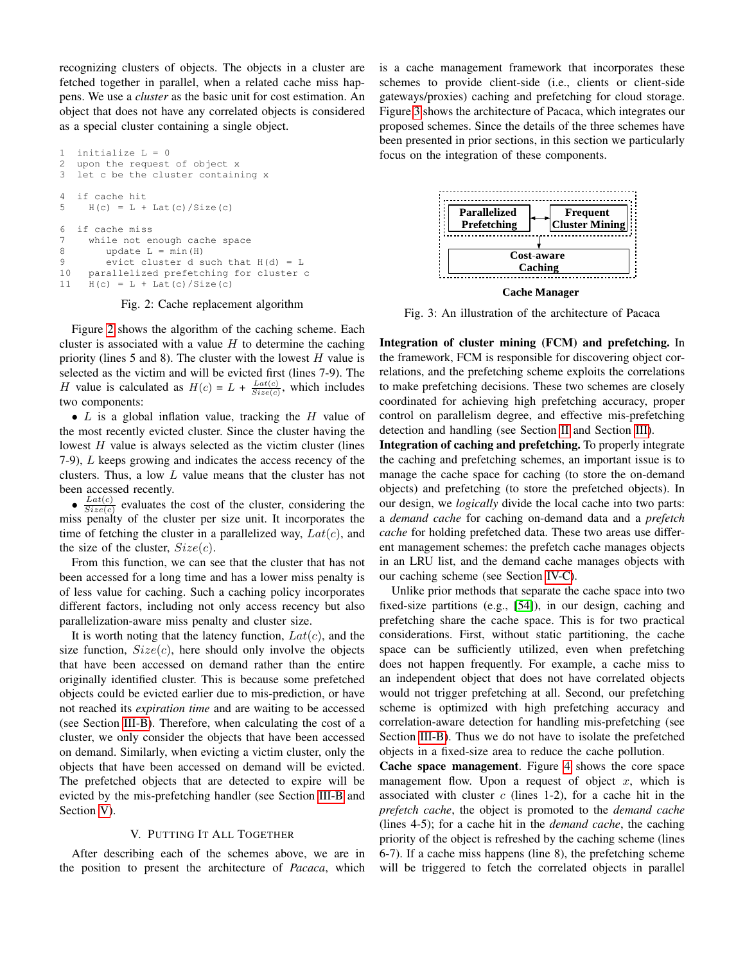recognizing clusters of objects. The objects in a cluster are fetched together in parallel, when a related cache miss happens. We use a *cluster* as the basic unit for cost estimation. An object that does not have any correlated objects is considered as a special cluster containing a single object.

```
1 initialize L = 0
2 upon the request of object x
3 let c be the cluster containing x
4 if cache hit
5 H(c) = L + Lat(c)/Size(c)6 if cache miss
7 while not enough cache space
8 update L = min(H)9 evict cluster d such that H(d) = L<br>10 parallelized prefetching for cluster
     parallelized prefetching for cluster c
11 H(c) = L + Lat(c)/Size(c)
```
#### Fig. 2: Cache replacement algorithm

Figure [2](#page-5-1) shows the algorithm of the caching scheme. Each cluster is associated with a value  $H$  to determine the caching priority (lines 5 and 8). The cluster with the lowest  $H$  value is selected as the victim and will be evicted first (lines 7-9). The H value is calculated as  $H(c) = L + \frac{Lat(c)}{Size(c)}$ , which includes two components:

•  $L$  is a global inflation value, tracking the  $H$  value of the most recently evicted cluster. Since the cluster having the lowest  $H$  value is always selected as the victim cluster (lines 7-9), L keeps growing and indicates the access recency of the clusters. Thus, a low L value means that the cluster has not been accessed recently.

 $\bullet$   $\frac{Lat(c)}{Size(c)}$  $rac{Lat(c)}{Size(c)}$  evaluates the cost of the cluster, considering the miss penalty of the cluster per size unit. It incorporates the time of fetching the cluster in a parallelized way,  $Lat(c)$ , and the size of the cluster,  $Size(c)$ .

From this function, we can see that the cluster that has not been accessed for a long time and has a lower miss penalty is of less value for caching. Such a caching policy incorporates different factors, including not only access recency but also parallelization-aware miss penalty and cluster size.

It is worth noting that the latency function,  $Lat(c)$ , and the size function,  $Size(c)$ , here should only involve the objects that have been accessed on demand rather than the entire originally identified cluster. This is because some prefetched objects could be evicted earlier due to mis-prediction, or have not reached its *expiration time* and are waiting to be accessed (see Section [III-B\)](#page-3-2). Therefore, when calculating the cost of a cluster, we only consider the objects that have been accessed on demand. Similarly, when evicting a victim cluster, only the objects that have been accessed on demand will be evicted. The prefetched objects that are detected to expire will be evicted by the mis-prefetching handler (see Section [III-B](#page-3-2) and Section [V\)](#page-5-0).

#### V. PUTTING IT ALL TOGETHER

<span id="page-5-0"></span>After describing each of the schemes above, we are in the position to present the architecture of *Pacaca*, which is a cache management framework that incorporates these schemes to provide client-side (i.e., clients or client-side gateways/proxies) caching and prefetching for cloud storage. Figure [3](#page-5-2) shows the architecture of Pacaca, which integrates our proposed schemes. Since the details of the three schemes have been presented in prior sections, in this section we particularly focus on the integration of these components.

<span id="page-5-2"></span>

Fig. 3: An illustration of the architecture of Pacaca

Integration of cluster mining (FCM) and prefetching. In the framework, FCM is responsible for discovering object correlations, and the prefetching scheme exploits the correlations to make prefetching decisions. These two schemes are closely coordinated for achieving high prefetching accuracy, proper control on parallelism degree, and effective mis-prefetching detection and handling (see Section [II](#page-1-0) and Section [III\)](#page-3-0).

Integration of caching and prefetching. To properly integrate the caching and prefetching schemes, an important issue is to manage the cache space for caching (to store the on-demand objects) and prefetching (to store the prefetched objects). In our design, we *logically* divide the local cache into two parts: a *demand cache* for caching on-demand data and a *prefetch cache* for holding prefetched data. These two areas use different management schemes: the prefetch cache manages objects in an LRU list, and the demand cache manages objects with our caching scheme (see Section [IV-C\)](#page-4-3).

Unlike prior methods that separate the cache space into two fixed-size partitions (e.g., [\[54\]](#page-12-0)), in our design, caching and prefetching share the cache space. This is for two practical considerations. First, without static partitioning, the cache space can be sufficiently utilized, even when prefetching does not happen frequently. For example, a cache miss to an independent object that does not have correlated objects would not trigger prefetching at all. Second, our prefetching scheme is optimized with high prefetching accuracy and correlation-aware detection for handling mis-prefetching (see Section [III-B\)](#page-3-2). Thus we do not have to isolate the prefetched objects in a fixed-size area to reduce the cache pollution.

Cache space management. Figure [4](#page-6-1) shows the core space management flow. Upon a request of object  $x$ , which is associated with cluster  $c$  (lines 1-2), for a cache hit in the *prefetch cache*, the object is promoted to the *demand cache* (lines 4-5); for a cache hit in the *demand cache*, the caching priority of the object is refreshed by the caching scheme (lines 6-7). If a cache miss happens (line 8), the prefetching scheme will be triggered to fetch the correlated objects in parallel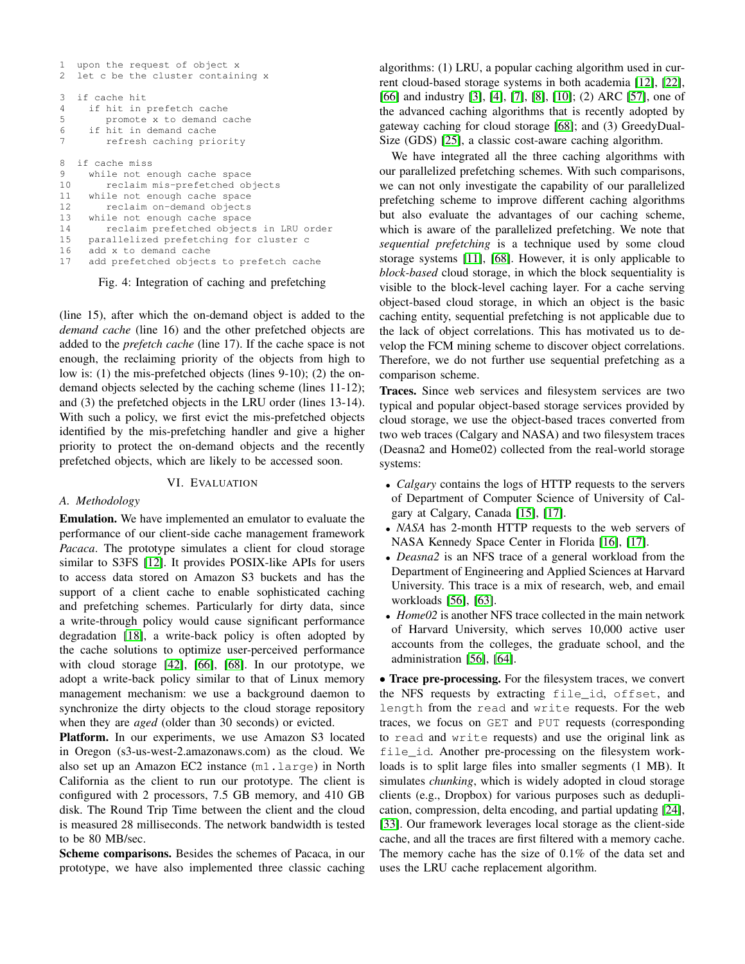```
1 upon the request of object x
2 let c be the cluster containing x
3 if cache hit
4 if hit in prefetch cache<br>5 promote x to demand c
        promote x to demand cache
6 if hit in demand cache
7 refresh caching priority
8 if cache miss<br>9 while not e
     while not enough cache space
10 reclaim mis-prefetched objects
11 while not enough cache space
12 reclaim on-demand objects
13 while not enough cache space
14 reclaim prefetched objects in LRU order
15 parallelized prefetching for cluster c
16 add x to demand cache
17 add prefetched objects to prefetch cache
```
Fig. 4: Integration of caching and prefetching

(line 15), after which the on-demand object is added to the *demand cache* (line 16) and the other prefetched objects are added to the *prefetch cache* (line 17). If the cache space is not enough, the reclaiming priority of the objects from high to low is: (1) the mis-prefetched objects (lines 9-10); (2) the ondemand objects selected by the caching scheme (lines 11-12); and (3) the prefetched objects in the LRU order (lines 13-14). With such a policy, we first evict the mis-prefetched objects identified by the mis-prefetching handler and give a higher priority to protect the on-demand objects and the recently prefetched objects, which are likely to be accessed soon.

## VI. EVALUATION

## <span id="page-6-0"></span>*A. Methodology*

Emulation. We have implemented an emulator to evaluate the performance of our client-side cache management framework *Pacaca*. The prototype simulates a client for cloud storage similar to S3FS [\[12\]](#page-11-12). It provides POSIX-like APIs for users to access data stored on Amazon S3 buckets and has the support of a client cache to enable sophisticated caching and prefetching schemes. Particularly for dirty data, since a write-through policy would cause significant performance degradation [\[18\]](#page-11-14), a write-back policy is often adopted by the cache solutions to optimize user-perceived performance with cloud storage [\[42\]](#page-11-15), [\[66\]](#page-12-8), [\[68\]](#page-12-9). In our prototype, we adopt a write-back policy similar to that of Linux memory management mechanism: we use a background daemon to synchronize the dirty objects to the cloud storage repository when they are *aged* (older than 30 seconds) or evicted.

Platform. In our experiments, we use Amazon S3 located in Oregon (s3-us-west-2.amazonaws.com) as the cloud. We also set up an Amazon EC2 instance (m1.large) in North California as the client to run our prototype. The client is configured with 2 processors, 7.5 GB memory, and 410 GB disk. The Round Trip Time between the client and the cloud is measured 28 milliseconds. The network bandwidth is tested to be 80 MB/sec.

Scheme comparisons. Besides the schemes of Pacaca, in our prototype, we have also implemented three classic caching

algorithms: (1) LRU, a popular caching algorithm used in current cloud-based storage systems in both academia [\[12\]](#page-11-12), [\[22\]](#page-11-13), [\[66\]](#page-12-8) and industry [\[3\]](#page-10-7), [\[4\]](#page-10-8), [\[7\]](#page-10-9), [\[8\]](#page-10-10), [\[10\]](#page-10-11); (2) ARC [\[57\]](#page-12-3), one of the advanced caching algorithms that is recently adopted by gateway caching for cloud storage [\[68\]](#page-12-9); and (3) GreedyDual-Size (GDS) [\[25\]](#page-11-5), a classic cost-aware caching algorithm.

We have integrated all the three caching algorithms with our parallelized prefetching schemes. With such comparisons, we can not only investigate the capability of our parallelized prefetching scheme to improve different caching algorithms but also evaluate the advantages of our caching scheme, which is aware of the parallelized prefetching. We note that *sequential prefetching* is a technique used by some cloud storage systems [\[11\]](#page-10-12), [\[68\]](#page-12-9). However, it is only applicable to *block-based* cloud storage, in which the block sequentiality is visible to the block-level caching layer. For a cache serving object-based cloud storage, in which an object is the basic caching entity, sequential prefetching is not applicable due to the lack of object correlations. This has motivated us to develop the FCM mining scheme to discover object correlations. Therefore, we do not further use sequential prefetching as a comparison scheme.

Traces. Since web services and filesystem services are two typical and popular object-based storage services provided by cloud storage, we use the object-based traces converted from two web traces (Calgary and NASA) and two filesystem traces (Deasna2 and Home02) collected from the real-world storage systems:

- *Calgary* contains the logs of HTTP requests to the servers of Department of Computer Science of University of Calgary at Calgary, Canada [\[15\]](#page-11-16), [\[17\]](#page-11-17).
- *NASA* has 2-month HTTP requests to the web servers of NASA Kennedy Space Center in Florida [\[16\]](#page-11-18), [\[17\]](#page-11-17).
- *Deasna2* is an NFS trace of a general workload from the Department of Engineering and Applied Sciences at Harvard University. This trace is a mix of research, web, and email workloads [\[56\]](#page-12-10), [\[63\]](#page-12-11).
- *Home02* is another NFS trace collected in the main network of Harvard University, which serves 10,000 active user accounts from the colleges, the graduate school, and the administration [\[56\]](#page-12-10), [\[64\]](#page-12-12).

• Trace pre-processing. For the filesystem traces, we convert the NFS requests by extracting file\_id, offset, and length from the read and write requests. For the web traces, we focus on GET and PUT requests (corresponding to read and write requests) and use the original link as file\_id. Another pre-processing on the filesystem workloads is to split large files into smaller segments (1 MB). It simulates *chunking*, which is widely adopted in cloud storage clients (e.g., Dropbox) for various purposes such as deduplication, compression, delta encoding, and partial updating [\[24\]](#page-11-19), [\[33\]](#page-11-20). Our framework leverages local storage as the client-side cache, and all the traces are first filtered with a memory cache. The memory cache has the size of 0.1% of the data set and uses the LRU cache replacement algorithm.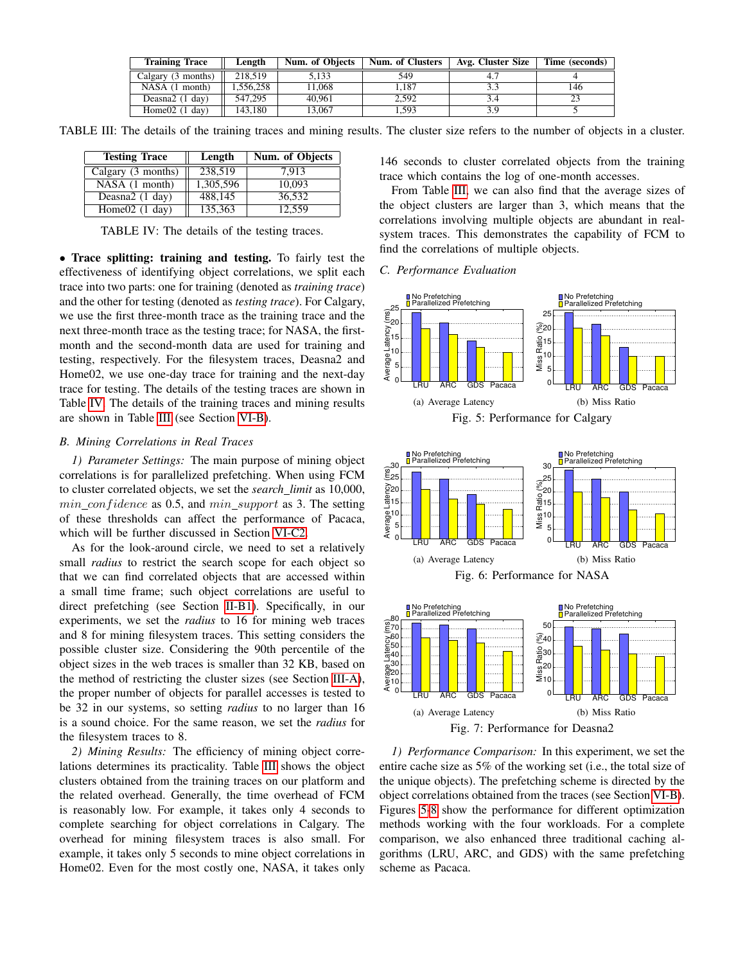<span id="page-7-1"></span>

| <b>Training Trace</b>     | Length   | Num. of Objects | Num. of Clusters | Avg. Cluster Size | Time (seconds) |
|---------------------------|----------|-----------------|------------------|-------------------|----------------|
| Calgary (3 months)        | 218,519  | 5.133           | 549              |                   |                |
| $NASA$ (1 month)          | .556,258 | 11.068          | 1.187            |                   | 146            |
| Deasna2 $(1 \text{ day})$ | 547.295  | 40.961          | 2.592            |                   |                |
| Home $02(1)$ day)         | 143.180  | 13.067          | 1.593            | 3.9               |                |

<span id="page-7-0"></span>TABLE III: The details of the training traces and mining results. The cluster size refers to the number of objects in a cluster.

| <b>Testing Trace</b> | Length    | Num. of Objects |
|----------------------|-----------|-----------------|
| Calgary (3 months)   | 238.519   | 7.913           |
| $NASA$ (1 month)     | 1,305,596 | 10.093          |
| Deasna2 $(1$ day)    | 488,145   | 36,532          |
| Home $02(1)$ day)    | 135,363   | 12.559          |

TABLE IV: The details of the testing traces.

• Trace splitting: training and testing. To fairly test the effectiveness of identifying object correlations, we split each trace into two parts: one for training (denoted as *training trace*) and the other for testing (denoted as *testing trace*). For Calgary, we use the first three-month trace as the training trace and the next three-month trace as the testing trace; for NASA, the firstmonth and the second-month data are used for training and testing, respectively. For the filesystem traces, Deasna2 and Home02, we use one-day trace for training and the next-day trace for testing. The details of the testing traces are shown in Table [IV.](#page-7-0) The details of the training traces and mining results are shown in Table [III](#page-7-1) (see Section [VI-B\)](#page-7-2).

## <span id="page-7-2"></span>*B. Mining Correlations in Real Traces*

<span id="page-7-5"></span>*1) Parameter Settings:* The main purpose of mining object correlations is for parallelized prefetching. When using FCM to cluster correlated objects, we set the *search limit* as 10,000,  $min$  confidence as 0.5, and  $min$  support as 3. The setting of these thresholds can affect the performance of Pacaca, which will be further discussed in Section [VI-C2.](#page-8-0)

As for the look-around circle, we need to set a relatively small *radius* to restrict the search scope for each object so that we can find correlated objects that are accessed within a small time frame; such object correlations are useful to direct prefetching (see Section [II-B1\)](#page-2-1). Specifically, in our experiments, we set the *radius* to 16 for mining web traces and 8 for mining filesystem traces. This setting considers the possible cluster size. Considering the 90th percentile of the object sizes in the web traces is smaller than 32 KB, based on the method of restricting the cluster sizes (see Section [III-A\)](#page-3-1), the proper number of objects for parallel accesses is tested to be 32 in our systems, so setting *radius* to no larger than 16 is a sound choice. For the same reason, we set the *radius* for the filesystem traces to 8.

*2) Mining Results:* The efficiency of mining object correlations determines its practicality. Table [III](#page-7-1) shows the object clusters obtained from the training traces on our platform and the related overhead. Generally, the time overhead of FCM is reasonably low. For example, it takes only 4 seconds to complete searching for object correlations in Calgary. The overhead for mining filesystem traces is also small. For example, it takes only 5 seconds to mine object correlations in Home02. Even for the most costly one, NASA, it takes only

146 seconds to cluster correlated objects from the training trace which contains the log of one-month accesses.

From Table [III,](#page-7-1) we can also find that the average sizes of the object clusters are larger than 3, which means that the correlations involving multiple objects are abundant in realsystem traces. This demonstrates the capability of FCM to find the correlations of multiple objects.

*C. Performance Evaluation*

<span id="page-7-3"></span>

<span id="page-7-6"></span><span id="page-7-4"></span>

*1) Performance Comparison:* In this experiment, we set the entire cache size as 5% of the working set (i.e., the total size of the unique objects). The prefetching scheme is directed by the object correlations obtained from the traces (see Section [VI-B\)](#page-7-2). Figures [5](#page-7-3)[-8](#page-8-1) show the performance for different optimization methods working with the four workloads. For a complete comparison, we also enhanced three traditional caching algorithms (LRU, ARC, and GDS) with the same prefetching scheme as Pacaca.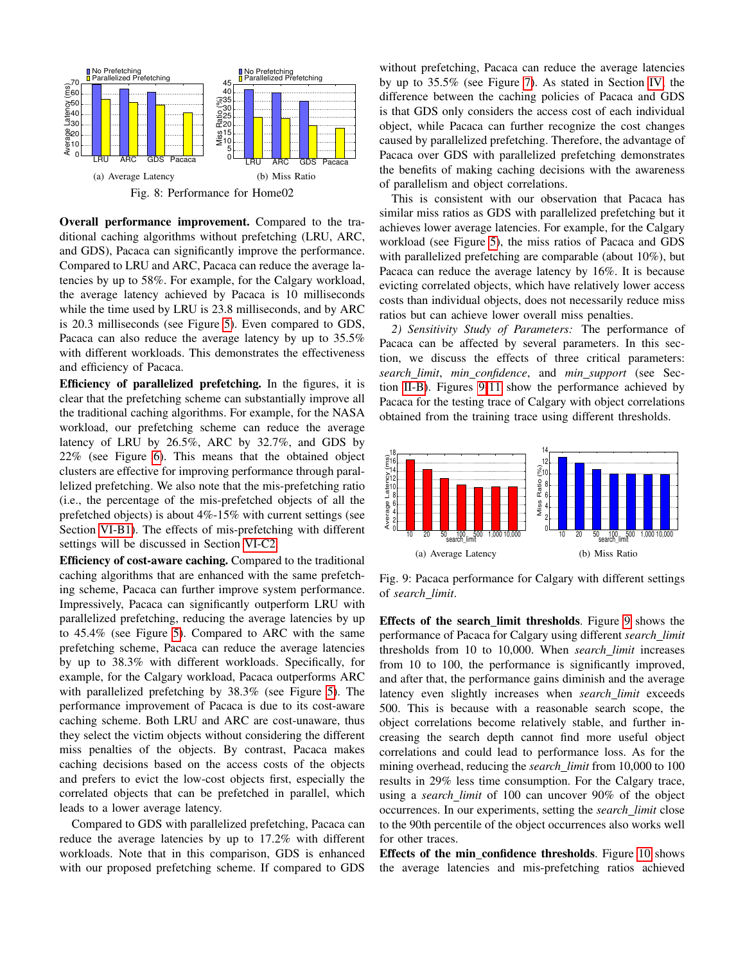<span id="page-8-1"></span>

Overall performance improvement. Compared to the traditional caching algorithms without prefetching (LRU, ARC, and GDS), Pacaca can significantly improve the performance. Compared to LRU and ARC, Pacaca can reduce the average latencies by up to 58%. For example, for the Calgary workload, the average latency achieved by Pacaca is 10 milliseconds while the time used by LRU is 23.8 milliseconds, and by ARC is 20.3 milliseconds (see Figure [5\)](#page-7-3). Even compared to GDS, Pacaca can also reduce the average latency by up to 35.5% with different workloads. This demonstrates the effectiveness and efficiency of Pacaca.

Efficiency of parallelized prefetching. In the figures, it is clear that the prefetching scheme can substantially improve all the traditional caching algorithms. For example, for the NASA workload, our prefetching scheme can reduce the average latency of LRU by 26.5%, ARC by 32.7%, and GDS by 22% (see Figure [6\)](#page-7-4). This means that the obtained object clusters are effective for improving performance through parallelized prefetching. We also note that the mis-prefetching ratio (i.e., the percentage of the mis-prefetched objects of all the prefetched objects) is about 4%-15% with current settings (see Section [VI-B1\)](#page-7-5). The effects of mis-prefetching with different settings will be discussed in Section [VI-C2.](#page-8-0)

Efficiency of cost-aware caching. Compared to the traditional caching algorithms that are enhanced with the same prefetching scheme, Pacaca can further improve system performance. Impressively, Pacaca can significantly outperform LRU with parallelized prefetching, reducing the average latencies by up to 45.4% (see Figure [5\)](#page-7-3). Compared to ARC with the same prefetching scheme, Pacaca can reduce the average latencies by up to 38.3% with different workloads. Specifically, for example, for the Calgary workload, Pacaca outperforms ARC with parallelized prefetching by 38.3% (see Figure [5\)](#page-7-3). The performance improvement of Pacaca is due to its cost-aware caching scheme. Both LRU and ARC are cost-unaware, thus they select the victim objects without considering the different miss penalties of the objects. By contrast, Pacaca makes caching decisions based on the access costs of the objects and prefers to evict the low-cost objects first, especially the correlated objects that can be prefetched in parallel, which leads to a lower average latency.

Compared to GDS with parallelized prefetching, Pacaca can reduce the average latencies by up to 17.2% with different workloads. Note that in this comparison, GDS is enhanced with our proposed prefetching scheme. If compared to GDS

without prefetching, Pacaca can reduce the average latencies by up to 35.5% (see Figure [7\)](#page-7-6). As stated in Section [IV,](#page-4-0) the difference between the caching policies of Pacaca and GDS is that GDS only considers the access cost of each individual object, while Pacaca can further recognize the cost changes caused by parallelized prefetching. Therefore, the advantage of Pacaca over GDS with parallelized prefetching demonstrates the benefits of making caching decisions with the awareness of parallelism and object correlations.

This is consistent with our observation that Pacaca has similar miss ratios as GDS with parallelized prefetching but it achieves lower average latencies. For example, for the Calgary workload (see Figure [5\)](#page-7-3), the miss ratios of Pacaca and GDS with parallelized prefetching are comparable (about 10%), but Pacaca can reduce the average latency by 16%. It is because evicting correlated objects, which have relatively lower access costs than individual objects, does not necessarily reduce miss ratios but can achieve lower overall miss penalties.

<span id="page-8-0"></span>*2) Sensitivity Study of Parameters:* The performance of Pacaca can be affected by several parameters. In this section, we discuss the effects of three critical parameters: *search limit*, *min confidence*, and *min support* (see Section [II-B\)](#page-2-2). Figures [9-](#page-8-2)[11](#page-9-1) show the performance achieved by Pacaca for the testing trace of Calgary with object correlations obtained from the training trace using different thresholds.

<span id="page-8-2"></span>

Fig. 9: Pacaca performance for Calgary with different settings of *search limit*.

Effects of the search limit thresholds. Figure [9](#page-8-2) shows the performance of Pacaca for Calgary using different *search limit* thresholds from 10 to 10,000. When *search limit* increases from 10 to 100, the performance is significantly improved, and after that, the performance gains diminish and the average latency even slightly increases when *search limit* exceeds 500. This is because with a reasonable search scope, the object correlations become relatively stable, and further increasing the search depth cannot find more useful object correlations and could lead to performance loss. As for the mining overhead, reducing the *search limit* from 10,000 to 100 results in 29% less time consumption. For the Calgary trace, using a *search limit* of 100 can uncover 90% of the object occurrences. In our experiments, setting the *search limit* close to the 90th percentile of the object occurrences also works well for other traces.

Effects of the min confidence thresholds. Figure [10](#page-9-2) shows the average latencies and mis-prefetching ratios achieved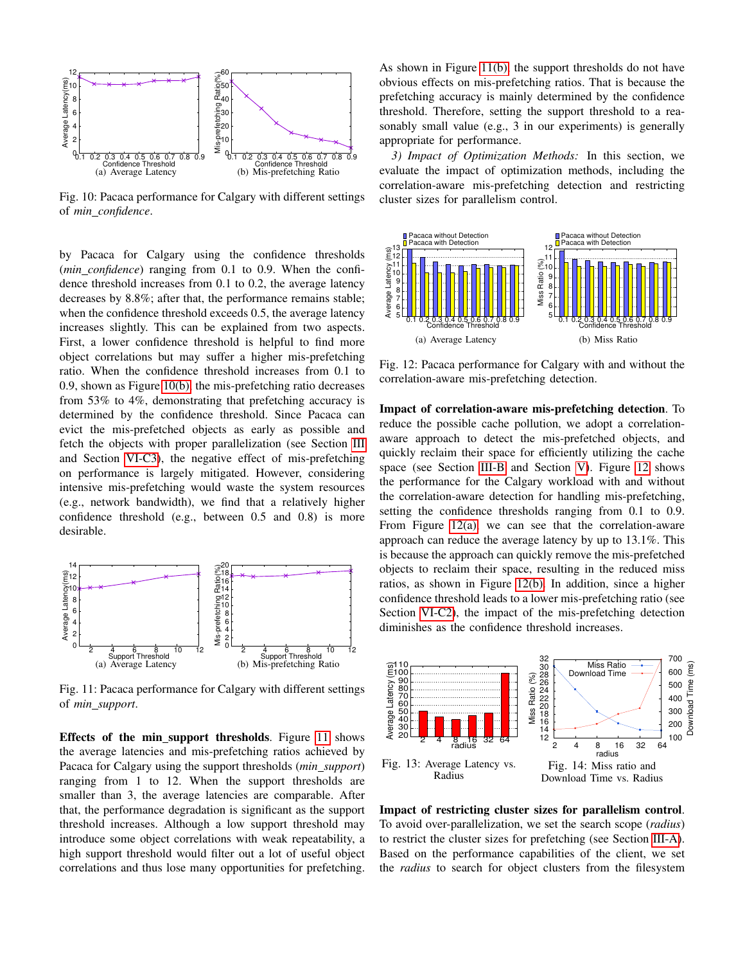<span id="page-9-2"></span>

Fig. 10: Pacaca performance for Calgary with different settings of *min confidence*.

by Pacaca for Calgary using the confidence thresholds (*min confidence*) ranging from 0.1 to 0.9. When the confidence threshold increases from 0.1 to 0.2, the average latency decreases by 8.8%; after that, the performance remains stable; when the confidence threshold exceeds 0.5, the average latency increases slightly. This can be explained from two aspects. First, a lower confidence threshold is helpful to find more object correlations but may suffer a higher mis-prefetching ratio. When the confidence threshold increases from 0.1 to 0.9, shown as Figure [10\(b\),](#page-9-3) the mis-prefetching ratio decreases from 53% to 4%, demonstrating that prefetching accuracy is determined by the confidence threshold. Since Pacaca can evict the mis-prefetched objects as early as possible and fetch the objects with proper parallelization (see Section [III](#page-3-0) and Section [VI-C3\)](#page-9-0), the negative effect of mis-prefetching on performance is largely mitigated. However, considering intensive mis-prefetching would waste the system resources (e.g., network bandwidth), we find that a relatively higher confidence threshold (e.g., between 0.5 and 0.8) is more desirable.

<span id="page-9-4"></span><span id="page-9-1"></span>

Fig. 11: Pacaca performance for Calgary with different settings of *min support*.

Effects of the min\_support thresholds. Figure [11](#page-9-1) shows the average latencies and mis-prefetching ratios achieved by Pacaca for Calgary using the support thresholds (*min support*) ranging from 1 to 12. When the support thresholds are smaller than 3, the average latencies are comparable. After that, the performance degradation is significant as the support threshold increases. Although a low support threshold may introduce some object correlations with weak repeatability, a high support threshold would filter out a lot of useful object correlations and thus lose many opportunities for prefetching.

<span id="page-9-3"></span>As shown in Figure [11\(b\),](#page-9-4) the support thresholds do not have obvious effects on mis-prefetching ratios. That is because the prefetching accuracy is mainly determined by the confidence threshold. Therefore, setting the support threshold to a reasonably small value (e.g., 3 in our experiments) is generally appropriate for performance.

<span id="page-9-0"></span>*3) Impact of Optimization Methods:* In this section, we evaluate the impact of optimization methods, including the correlation-aware mis-prefetching detection and restricting cluster sizes for parallelism control.

<span id="page-9-6"></span><span id="page-9-5"></span>

<span id="page-9-7"></span>Fig. 12: Pacaca performance for Calgary with and without the correlation-aware mis-prefetching detection.

Impact of correlation-aware mis-prefetching detection. To reduce the possible cache pollution, we adopt a correlationaware approach to detect the mis-prefetched objects, and quickly reclaim their space for efficiently utilizing the cache space (see Section [III-B](#page-3-2) and Section [V\)](#page-5-0). Figure [12](#page-9-5) shows the performance for the Calgary workload with and without the correlation-aware detection for handling mis-prefetching, setting the confidence thresholds ranging from 0.1 to 0.9. From Figure [12\(a\),](#page-9-6) we can see that the correlation-aware approach can reduce the average latency by up to 13.1%. This is because the approach can quickly remove the mis-prefetched objects to reclaim their space, resulting in the reduced miss ratios, as shown in Figure [12\(b\).](#page-9-7) In addition, since a higher confidence threshold leads to a lower mis-prefetching ratio (see Section [VI-C2\)](#page-8-0), the impact of the mis-prefetching detection diminishes as the confidence threshold increases.

<span id="page-9-8"></span>

Impact of restricting cluster sizes for parallelism control. To avoid over-parallelization, we set the search scope (*radius*) to restrict the cluster sizes for prefetching (see Section [III-A\)](#page-3-1). Based on the performance capabilities of the client, we set the *radius* to search for object clusters from the filesystem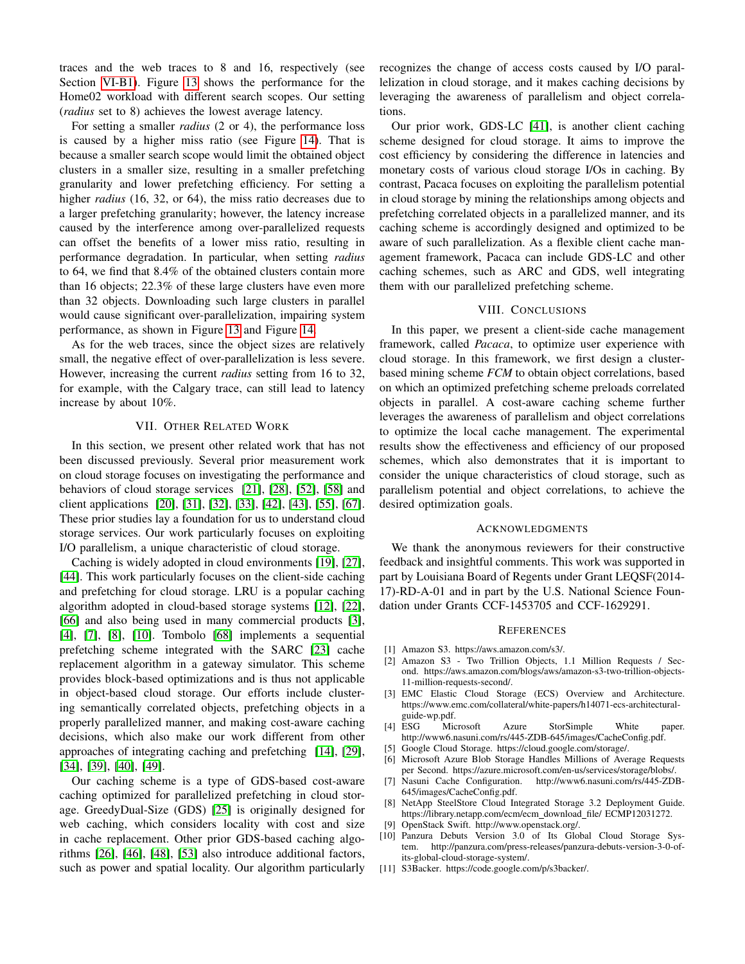traces and the web traces to 8 and 16, respectively (see Section [VI-B1\)](#page-7-5). Figure [13](#page-9-8) shows the performance for the Home02 workload with different search scopes. Our setting (*radius* set to 8) achieves the lowest average latency.

For setting a smaller *radius* (2 or 4), the performance loss is caused by a higher miss ratio (see Figure [14\)](#page-9-8). That is because a smaller search scope would limit the obtained object clusters in a smaller size, resulting in a smaller prefetching granularity and lower prefetching efficiency. For setting a higher *radius* (16, 32, or 64), the miss ratio decreases due to a larger prefetching granularity; however, the latency increase caused by the interference among over-parallelized requests can offset the benefits of a lower miss ratio, resulting in performance degradation. In particular, when setting *radius* to 64, we find that 8.4% of the obtained clusters contain more than 16 objects; 22.3% of these large clusters have even more than 32 objects. Downloading such large clusters in parallel would cause significant over-parallelization, impairing system performance, as shown in Figure [13](#page-9-8) and Figure [14.](#page-9-8)

As for the web traces, since the object sizes are relatively small, the negative effect of over-parallelization is less severe. However, increasing the current *radius* setting from 16 to 32, for example, with the Calgary trace, can still lead to latency increase by about 10%.

#### VII. OTHER RELATED WORK

<span id="page-10-5"></span>In this section, we present other related work that has not been discussed previously. Several prior measurement work on cloud storage focuses on investigating the performance and behaviors of cloud storage services [\[21\]](#page-11-21), [\[28\]](#page-11-22), [\[52\]](#page-11-23), [\[58\]](#page-12-13) and client applications [\[20\]](#page-11-24), [\[31\]](#page-11-25), [\[32\]](#page-11-26), [\[33\]](#page-11-20), [\[42\]](#page-11-15), [\[43\]](#page-11-27), [\[55\]](#page-12-14), [\[67\]](#page-12-15). These prior studies lay a foundation for us to understand cloud storage services. Our work particularly focuses on exploiting I/O parallelism, a unique characteristic of cloud storage.

Caching is widely adopted in cloud environments [\[19\]](#page-11-28), [\[27\]](#page-11-29), [\[44\]](#page-11-30). This work particularly focuses on the client-side caching and prefetching for cloud storage. LRU is a popular caching algorithm adopted in cloud-based storage systems [\[12\]](#page-11-12), [\[22\]](#page-11-13), [\[66\]](#page-12-8) and also being used in many commercial products [\[3\]](#page-10-7), [\[4\]](#page-10-8), [\[7\]](#page-10-9), [\[8\]](#page-10-10), [\[10\]](#page-10-11). Tombolo [\[68\]](#page-12-9) implements a sequential prefetching scheme integrated with the SARC [\[23\]](#page-11-31) cache replacement algorithm in a gateway simulator. This scheme provides block-based optimizations and is thus not applicable in object-based cloud storage. Our efforts include clustering semantically correlated objects, prefetching objects in a properly parallelized manner, and making cost-aware caching decisions, which also make our work different from other approaches of integrating caching and prefetching [\[14\]](#page-11-32), [\[29\]](#page-11-33), [\[34\]](#page-11-34), [\[39\]](#page-11-35), [\[40\]](#page-11-36), [\[49\]](#page-11-37).

Our caching scheme is a type of GDS-based cost-aware caching optimized for parallelized prefetching in cloud storage. GreedyDual-Size (GDS) [\[25\]](#page-11-5) is originally designed for web caching, which considers locality with cost and size in cache replacement. Other prior GDS-based caching algorithms [\[26\]](#page-11-38), [\[46\]](#page-11-0), [\[48\]](#page-11-39), [\[53\]](#page-11-40) also introduce additional factors, such as power and spatial locality. Our algorithm particularly recognizes the change of access costs caused by I/O parallelization in cloud storage, and it makes caching decisions by leveraging the awareness of parallelism and object correlations.

Our prior work, GDS-LC [\[41\]](#page-11-41), is another client caching scheme designed for cloud storage. It aims to improve the cost efficiency by considering the difference in latencies and monetary costs of various cloud storage I/Os in caching. By contrast, Pacaca focuses on exploiting the parallelism potential in cloud storage by mining the relationships among objects and prefetching correlated objects in a parallelized manner, and its caching scheme is accordingly designed and optimized to be aware of such parallelization. As a flexible client cache management framework, Pacaca can include GDS-LC and other caching schemes, such as ARC and GDS, well integrating them with our parallelized prefetching scheme.

#### VIII. CONCLUSIONS

<span id="page-10-6"></span>In this paper, we present a client-side cache management framework, called *Pacaca*, to optimize user experience with cloud storage. In this framework, we first design a clusterbased mining scheme *FCM* to obtain object correlations, based on which an optimized prefetching scheme preloads correlated objects in parallel. A cost-aware caching scheme further leverages the awareness of parallelism and object correlations to optimize the local cache management. The experimental results show the effectiveness and efficiency of our proposed schemes, which also demonstrates that it is important to consider the unique characteristics of cloud storage, such as parallelism potential and object correlations, to achieve the desired optimization goals.

#### ACKNOWLEDGMENTS

We thank the anonymous reviewers for their constructive feedback and insightful comments. This work was supported in part by Louisiana Board of Regents under Grant LEQSF(2014- 17)-RD-A-01 and in part by the U.S. National Science Foundation under Grants CCF-1453705 and CCF-1629291.

#### **REFERENCES**

- <span id="page-10-2"></span>[1] Amazon S3. https://aws.amazon.com/s3/.
- <span id="page-10-0"></span>[2] Amazon S3 - Two Trillion Objects, 1.1 Million Requests / Second. https://aws.amazon.com/blogs/aws/amazon-s3-two-trillion-objects-11-million-requests-second/.
- <span id="page-10-7"></span>[3] EMC Elastic Cloud Storage (ECS) Overview and Architecture. https://www.emc.com/collateral/white-papers/h14071-ecs-architecturalguide-wp.pdf.
- <span id="page-10-8"></span>[4] ESG Microsoft Azure StorSimple White paper. http://www6.nasuni.com/rs/445-ZDB-645/images/CacheConfig.pdf.
- <span id="page-10-3"></span>[5] Google Cloud Storage. https://cloud.google.com/storage/.
- <span id="page-10-1"></span>[6] Microsoft Azure Blob Storage Handles Millions of Average Requests per Second. https://azure.microsoft.com/en-us/services/storage/blobs/.<br>[7] Nasuni Cache Configuration. http://www6.nasuni.com/rs/445-ZD
- <span id="page-10-9"></span>http://www6.nasuni.com/rs/445-ZDB-645/images/CacheConfig.pdf.
- <span id="page-10-10"></span>[8] NetApp SteelStore Cloud Integrated Storage 3.2 Deployment Guide. https://library.netapp.com/ecm/ecm download file/ ECMP12031272. [9] OpenStack Swift. http://www.openstack.org/.
- <span id="page-10-4"></span>
- <span id="page-10-11"></span>[10] Panzura Debuts Version 3.0 of Its Global Cloud Storage System. http://panzura.com/press-releases/panzura-debuts-version-3-0-ofits-global-cloud-storage-system/.
- <span id="page-10-12"></span>[11] S3Backer. https://code.google.com/p/s3backer/.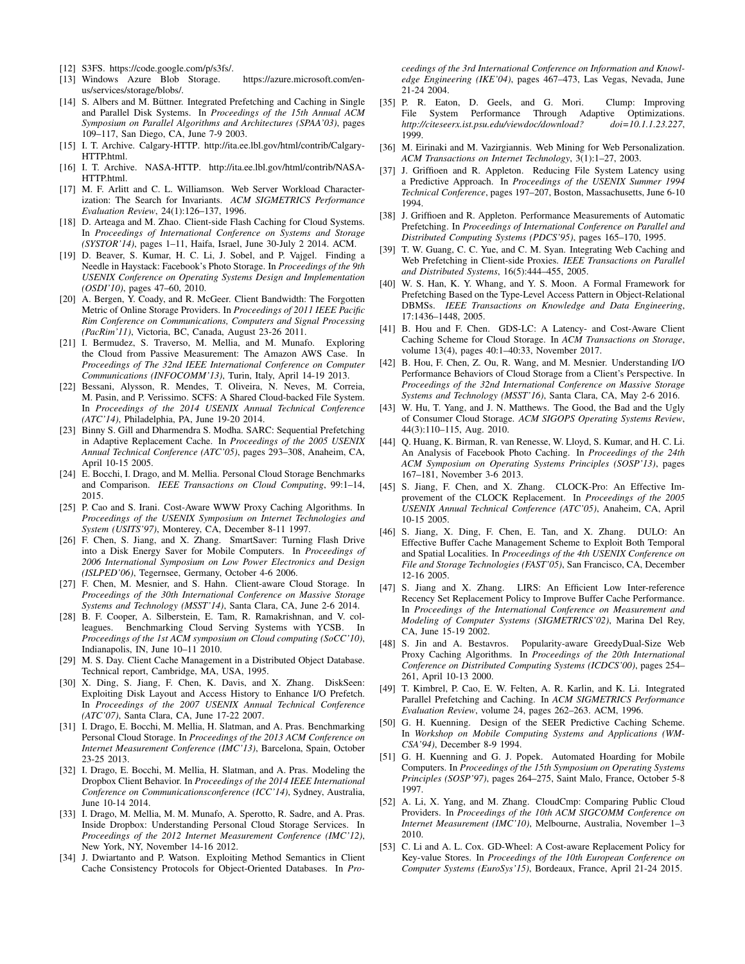- <span id="page-11-12"></span>[12] S3FS. https://code.google.com/p/s3fs/.
- <span id="page-11-2"></span>[13] Windows Azure Blob Storage. https://azure.microsoft.com/enus/services/storage/blobs/.
- <span id="page-11-32"></span>[14] S. Albers and M. Büttner. Integrated Prefetching and Caching in Single and Parallel Disk Systems. In *Proceedings of the 15th Annual ACM Symposium on Parallel Algorithms and Architectures (SPAA'03)*, pages 109–117, San Diego, CA, June 7-9 2003.
- <span id="page-11-16"></span>[15] I. T. Archive. Calgary-HTTP. http://ita.ee.lbl.gov/html/contrib/Calgary-HTTP.html.
- <span id="page-11-18"></span>[16] I. T. Archive. NASA-HTTP. http://ita.ee.lbl.gov/html/contrib/NASA-HTTP.html.
- <span id="page-11-17"></span>[17] M. F. Arlitt and C. L. Williamson. Web Server Workload Characterization: The Search for Invariants. *ACM SIGMETRICS Performance Evaluation Review*, 24(1):126–137, 1996.
- <span id="page-11-14"></span>[18] D. Arteaga and M. Zhao. Client-side Flash Caching for Cloud Systems. In *Proceedings of International Conference on Systems and Storage (SYSTOR'14)*, pages 1–11, Haifa, Israel, June 30-July 2 2014. ACM.
- <span id="page-11-28"></span>[19] D. Beaver, S. Kumar, H. C. Li, J. Sobel, and P. Vajgel. Finding a Needle in Haystack: Facebook's Photo Storage. In *Proceedings of the 9th USENIX Conference on Operating Systems Design and Implementation (OSDI'10)*, pages 47–60, 2010.
- <span id="page-11-24"></span>[20] A. Bergen, Y. Coady, and R. McGeer. Client Bandwidth: The Forgotten Metric of Online Storage Providers. In *Proceedings of 2011 IEEE Pacific Rim Conference on Communications, Computers and Signal Processing (PacRim'11)*, Victoria, BC, Canada, August 23-26 2011.
- <span id="page-11-21"></span>[21] I. Bermudez, S. Traverso, M. Mellia, and M. Munafo. Exploring the Cloud from Passive Measurement: The Amazon AWS Case. In *Proceedings of The 32nd IEEE International Conference on Computer Communications (INFOCOMM'13)*, Turin, Italy, April 14-19 2013.
- <span id="page-11-13"></span>[22] Bessani, Alysson, R. Mendes, T. Oliveira, N. Neves, M. Correia, M. Pasin, and P. Verissimo. SCFS: A Shared Cloud-backed File System. In *Proceedings of the 2014 USENIX Annual Technical Conference (ATC'14)*, Philadelphia, PA, June 19-20 2014.
- <span id="page-11-31"></span>[23] Binny S. Gill and Dharmendra S. Modha. SARC: Sequential Prefetching in Adaptive Replacement Cache. In *Proceedings of the 2005 USENIX Annual Technical Conference (ATC'05)*, pages 293–308, Anaheim, CA, April 10-15 2005.
- <span id="page-11-19"></span>[24] E. Bocchi, I. Drago, and M. Mellia. Personal Cloud Storage Benchmarks and Comparison. *IEEE Transactions on Cloud Computing*, 99:1–14, 2015.
- <span id="page-11-5"></span>[25] P. Cao and S. Irani. Cost-Aware WWW Proxy Caching Algorithms. In *Proceedings of the USENIX Symposium on Internet Technologies and System (USITS'97)*, Monterey, CA, December 8-11 1997.
- <span id="page-11-38"></span>[26] F. Chen, S. Jiang, and X. Zhang. SmartSaver: Turning Flash Drive into a Disk Energy Saver for Mobile Computers. In *Proceedings of 2006 International Symposium on Low Power Electronics and Design (ISLPED'06)*, Tegernsee, Germany, October 4-6 2006.
- <span id="page-11-29"></span>[27] F. Chen, M. Mesnier, and S. Hahn. Client-aware Cloud Storage. In *Proceedings of the 30th International Conference on Massive Storage Systems and Technology (MSST'14)*, Santa Clara, CA, June 2-6 2014.
- <span id="page-11-22"></span>[28] B. F. Cooper, A. Silberstein, E. Tam, R. Ramakrishnan, and V. colleagues. Benchmarking Cloud Serving Systems with YCSB. In *Proceedings of the 1st ACM symposium on Cloud computing (SoCC'10)*, Indianapolis, IN, June 10–11 2010.
- <span id="page-11-33"></span>[29] M. S. Day. Client Cache Management in a Distributed Object Database. Technical report, Cambridge, MA, USA, 1995.
- <span id="page-11-1"></span>[30] X. Ding, S. Jiang, F. Chen, K. Davis, and X. Zhang. DiskSeen: Exploiting Disk Layout and Access History to Enhance I/O Prefetch. In *Proceedings of the 2007 USENIX Annual Technical Conference (ATC'07)*, Santa Clara, CA, June 17-22 2007.
- <span id="page-11-25"></span>[31] I. Drago, E. Bocchi, M. Mellia, H. Slatman, and A. Pras. Benchmarking Personal Cloud Storage. In *Proceedings of the 2013 ACM Conference on Internet Measurement Conference (IMC'13)*, Barcelona, Spain, October 23-25 2013.
- <span id="page-11-26"></span>[32] I. Drago, E. Bocchi, M. Mellia, H. Slatman, and A. Pras. Modeling the Dropbox Client Behavior. In *Proceedings of the 2014 IEEE International Conference on Communicationsconference (ICC'14)*, Sydney, Australia, June 10-14 2014.
- <span id="page-11-20"></span>[33] I. Drago, M. Mellia, M. M. Munafo, A. Sperotto, R. Sadre, and A. Pras. Inside Dropbox: Understanding Personal Cloud Storage Services. In *Proceedings of the 2012 Internet Measurement Conference (IMC'12)*, New York, NY, November 14-16 2012.
- <span id="page-11-34"></span>[34] J. Dwiartanto and P. Watson. Exploiting Method Semantics in Client Cache Consistency Protocols for Object-Oriented Databases. In *Pro-*

*ceedings of the 3rd International Conference on Information and Knowledge Engineering (IKE'04)*, pages 467–473, Las Vegas, Nevada, June 21-24 2004.

- <span id="page-11-6"></span>[35] P. R. Eaton, D. Geels, and G. Mori. Clump: Improving File System Performance Through Adaptive Optimizations. *http://citeseerx.ist.psu.edu/viewdoc/download? doi=10.1.1.23.227*, 1999.
- <span id="page-11-11"></span>[36] M. Eirinaki and M. Vazirgiannis. Web Mining for Web Personalization. *ACM Transactions on Internet Technology*, 3(1):1–27, 2003.
- <span id="page-11-7"></span>[37] J. Griffioen and R. Appleton. Reducing File System Latency using a Predictive Approach. In *Proceedings of the USENIX Summer 1994 Technical Conference*, pages 197–207, Boston, Massachusetts, June 6-10 1994.
- <span id="page-11-8"></span>[38] J. Griffioen and R. Appleton. Performance Measurements of Automatic Prefetching. In *Proceedings of International Conference on Parallel and Distributed Computing Systems (PDCS'95)*, pages 165–170, 1995.
- <span id="page-11-35"></span>[39] T. W. Guang, C. C. Yue, and C. M. Syan. Integrating Web Caching and Web Prefetching in Client-side Proxies. *IEEE Transactions on Parallel and Distributed Systems*, 16(5):444–455, 2005.
- <span id="page-11-36"></span>[40] W. S. Han, K. Y. Whang, and Y. S. Moon. A Formal Framework for Prefetching Based on the Type-Level Access Pattern in Object-Relational DBMSs. *IEEE Transactions on Knowledge and Data Engineering*, 17:1436–1448, 2005.
- <span id="page-11-41"></span>[41] B. Hou and F. Chen. GDS-LC: A Latency- and Cost-Aware Client Caching Scheme for Cloud Storage. In *ACM Transactions on Storage*, volume 13(4), pages 40:1–40:33, November 2017.
- <span id="page-11-15"></span>[42] B. Hou, F. Chen, Z. Ou, R. Wang, and M. Mesnier. Understanding I/O Performance Behaviors of Cloud Storage from a Client's Perspective. In *Proceedings of the 32nd International Conference on Massive Storage Systems and Technology (MSST'16)*, Santa Clara, CA, May 2-6 2016.
- <span id="page-11-27"></span>[43] W. Hu, T. Yang, and J. N. Matthews. The Good, the Bad and the Ugly of Consumer Cloud Storage. *ACM SIGOPS Operating Systems Review*, 44(3):110–115, Aug. 2010.
- <span id="page-11-30"></span>[44] Q. Huang, K. Birman, R. van Renesse, W. Lloyd, S. Kumar, and H. C. Li. An Analysis of Facebook Photo Caching. In *Proceedings of the 24th ACM Symposium on Operating Systems Principles (SOSP'13)*, pages 167–181, November 3-6 2013.
- <span id="page-11-3"></span>[45] S. Jiang, F. Chen, and X. Zhang. CLOCK-Pro: An Effective Improvement of the CLOCK Replacement. In *Proceedings of the 2005 USENIX Annual Technical Conference (ATC'05)*, Anaheim, CA, April 10-15 2005.
- <span id="page-11-0"></span>[46] S. Jiang, X. Ding, F. Chen, E. Tan, and X. Zhang. DULO: An Effective Buffer Cache Management Scheme to Exploit Both Temporal and Spatial Localities. In *Proceedings of the 4th USENIX Conference on File and Storage Technologies (FAST'05)*, San Francisco, CA, December 12-16 2005.
- <span id="page-11-4"></span>[47] S. Jiang and X. Zhang. LIRS: An Efficient Low Inter-reference Recency Set Replacement Policy to Improve Buffer Cache Performance. In *Proceedings of the International Conference on Measurement and Modeling of Computer Systems (SIGMETRICS'02)*, Marina Del Rey, CA, June 15-19 2002.
- <span id="page-11-39"></span>[48] S. Jin and A. Bestavros. Popularity-aware GreedyDual-Size Web Proxy Caching Algorithms. In *Proceedings of the 20th International Conference on Distributed Computing Systems (ICDCS'00)*, pages 254– 261, April 10-13 2000.
- <span id="page-11-37"></span>[49] T. Kimbrel, P. Cao, E. W. Felten, A. R. Karlin, and K. Li. Integrated Parallel Prefetching and Caching. In *ACM SIGMETRICS Performance Evaluation Review*, volume 24, pages 262–263. ACM, 1996.
- <span id="page-11-9"></span>[50] G. H. Kuenning. Design of the SEER Predictive Caching Scheme. In *Workshop on Mobile Computing Systems and Applications (WM-CSA'94)*, December 8-9 1994.
- <span id="page-11-10"></span>[51] G. H. Kuenning and G. J. Popek. Automated Hoarding for Mobile Computers. In *Proceedings of the 15th Symposium on Operating Systems Principles (SOSP'97)*, pages 264–275, Saint Malo, France, October 5-8 1997.
- <span id="page-11-23"></span>[52] A. Li, X. Yang, and M. Zhang. CloudCmp: Comparing Public Cloud Providers. In *Proceedings of the 10th ACM SIGCOMM Conference on Internet Measurement (IMC'10)*, Melbourne, Australia, November 1–3 2010.
- <span id="page-11-40"></span>[53] C. Li and A. L. Cox. GD-Wheel: A Cost-aware Replacement Policy for Key-value Stores. In *Proceedings of the 10th European Conference on Computer Systems (EuroSys'15)*, Bordeaux, France, April 21-24 2015.